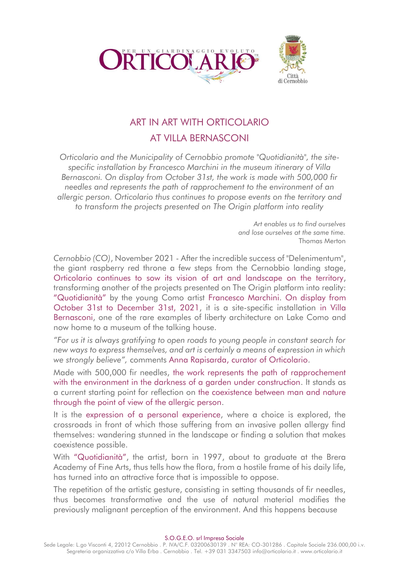

# ART IN ART WITH ORTICOLARIO AT VILLA BERNASCONI

*Orticolario and the Municipality of Cernobbio promote "Quotidianità", the sitespecific installation by Francesco Marchini in the museum itinerary of Villa Bernasconi. On display from October 31st, the work is made with 500,000 fir needles and represents the path of rapprochement to the environment of an allergic person. Orticolario thus continues to propose events on the territory and to transform the projects presented on The Origin platform into reality*

> *Art enables us to find ourselves and lose ourselves at the same time.* Thomas Merton

*Cernobbio (CO)*, November 2021 - After the incredible success of "Delenimentum", the giant raspberry red throne a few steps from the Cernobbio landing stage, Orticolario continues to sow its vision of art and landscape on the territory, transforming another of the projects presented on The Origin platform into reality: "Quotidianità" by the young Como artist Francesco Marchini. On display from October 31st to December 31st, 2021, it is a site-specific installation in Villa Bernasconi, one of the rare examples of liberty architecture on Lake Como and now home to a museum of the talking house.

*"For us it is always gratifying to open roads to young people in constant search for new ways to express themselves, and art is certainly a means of expression in which we strongly believe",* comments Anna Rapisarda, curator of Orticolario.

Made with 500,000 fir needles, the work represents the path of rapprochement with the environment in the darkness of a garden under construction. It stands as a current starting point for reflection on the coexistence between man and nature through the point of view of the allergic person.

It is the expression of a personal experience, where a choice is explored, the crossroads in front of which those suffering from an invasive pollen allergy find themselves: wandering stunned in the landscape or finding a solution that makes coexistence possible.

With "Quotidianità", the artist, born in 1997, about to graduate at the Brera Academy of Fine Arts, thus tells how the flora, from a hostile frame of his daily life, has turned into an attractive force that is impossible to oppose.

The repetition of the artistic gesture, consisting in setting thousands of fir needles, thus becomes transformative and the use of natural material modifies the previously malignant perception of the environment. And this happens because

S.O.G.E.O. srl Impresa Sociale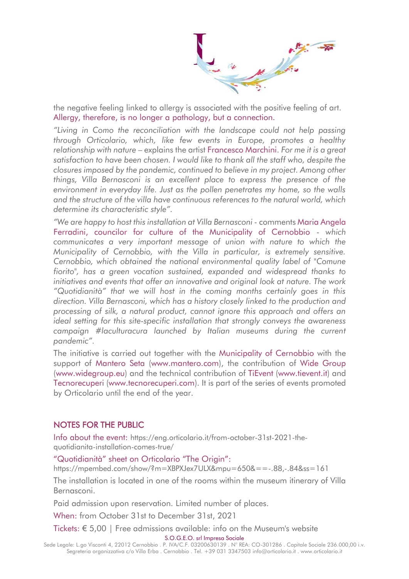

the negative feeling linked to allergy is associated with the positive feeling of art. Allergy, therefore, is no longer a pathology, but a connection.

*"Living in Como the reconciliation with the landscape could not help passing through Orticolario, which, like few events in Europe, promotes a healthy relationship with nature* – explains the artist Francesco Marchini. *For me it is a great satisfaction to have been chosen. I would like to thank all the staff who, despite the closures imposed by the pandemic, continued to believe in my project. Among other things, Villa Bernasconi is an excellent place to express the presence of the environment in everyday life. Just as the pollen penetrates my home, so the walls and the structure of the villa have continuous references to the natural world, which determine its characteristic style".*

*"We are happy to host this installation at Villa Bernasconi -* comments Maria Angela Ferradini, councilor for culture of the Municipality of Cernobbio - *which communicates a very important message of union with nature to which the Municipality of Cernobbio, with the Villa in particular, is extremely sensitive. Cernobbio, which obtained the national environmental quality label of "Comune fiorito", has a green vocation sustained, expanded and widespread thanks to initiatives and events that offer an innovative and original look at nature. The work "Quotidianità" that we will host in the coming months certainly goes in this direction. Villa Bernasconi, which has a history closely linked to the production and processing of silk, a natural product, cannot ignore this approach and offers an ideal setting for this site-specific installation that strongly conveys the awareness campaign #laculturacura launched by Italian museums during the current pandemic".*

The initiative is carried out together with the Municipality of Cernobbio with the support of Mantero Seta [\(www.mantero.com\)](http://www.mantero.com/), the contribution of Wide Group [\(www.widegroup.eu\)](http://www.widegroup.eu/) and the technical contribution of TiEvent [\(www.tievent.it\)](http://www.tievent.it/) and Tecnorecuperi (www.tecnorecuperi.com). It is part of the series of events promoted by Orticolario until the end of the year.

# NOTES FOR THE PUBLIC

Info about the event: [https://eng.orticolario.it/from-october-31st-2021-the](https://eng.orticolario.it/from-october-31st-2021-the-quotidianita-installation-comes-true/)[quotidianita-installation-comes-true/](https://eng.orticolario.it/from-october-31st-2021-the-quotidianita-installation-comes-true/)

"Quotidianità" sheet on Orticolario "The Origin":

https://mpembed.com/show/?m=XBPXJex7ULX&mpu=650&==-.88,-.84&ss=161

The installation is located in one of the rooms within the museum itinerary of Villa Bernasconi.

Paid admission upon reservation. Limited number of places.

When: from October 31st to December 31st, 2021

Tickets: € 5,00 | Free admissions available: info on the Museum's website

S.O.G.E.O. srl Impresa Sociale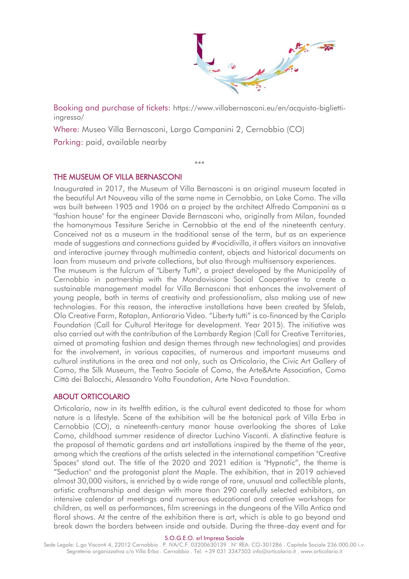

Booking and purchase of tickets: [https://www.villabernasconi.eu/en/acquisto-biglietti](https://www.villabernasconi.eu/en/acquisto-biglietti-ingresso/)[ingresso/](https://www.villabernasconi.eu/en/acquisto-biglietti-ingresso/)

Where: Museo Villa Bernasconi, Largo Campanini 2, Cernobbio (CO) Parking: paid, available nearby

\*\*\*

# THE MUSEUM OF VILLA BERNASCONI

Inaugurated in 2017, the Museum of Villa Bernasconi is an original museum located in the beautiful Art Nouveau villa of the same name in Cernobbio, on Lake Como. The villa was built between 1905 and 1906 on a project by the architect Alfredo Campanini as a "fashion house" for the engineer Davide Bernasconi who, originally from Milan, founded the homonymous Tessiture Seriche in Cernobbio at the end of the nineteenth century. Conceived not as a museum in the traditional sense of the term, but as an experience made of suggestions and connections guided by #vocidivilla, it offers visitors an innovative and interactive journey through multimedia content, objects and historical documents on loan from museum and private collections, but also through multisensory experiences.

The museum is the fulcrum of "Liberty Tutti", a project developed by the Municipality of Cernobbio in partnership with the Mondovisione Social Cooperative to create a sustainable management model for Villa Bernasconi that enhances the involvement of young people, both in terms of creativity and professionalism, also making use of new technologies. For this reason, the interactive installations have been created by Sfelab, Olo Creative Farm, Rataplan, Antiorario Video. "Liberty tutti" is co-financed by the Cariplo Foundation (Call for Cultural Heritage for development. Year 2015). The initiative was also carried out with the contribution of the Lombardy Region (Call for Creative Territories, aimed at promoting fashion and design themes through new technologies) and provides for the involvement, in various capacities, of numerous and important museums and cultural institutions in the area and not only, such as Orticolario, the Civic Art Gallery of Como, the Silk Museum, the Teatro Sociale of Como, the Arte&Arte Association, Como Città dei Balocchi, Alessandro Volta Foundation, Arte Nova Foundation.

# ABOUT ORTICOLARIO

Orticolario, now in its twelfth edition, is the cultural event dedicated to those for whom nature is a lifestyle. Scene of the exhibition will be the botanical park of Villa Erba in Cernobbio (CO), a nineteenth-century manor house overlooking the shores of Lake Como, childhood summer residence of director Luchino Visconti. A distinctive feature is the proposal of thematic gardens and art installations inspired by the theme of the year, among which the creations of the artists selected in the international competition "Creative Spaces" stand out. The title of the 2020 and 2021 edition is "Hypnotic", the theme is "Seduction" and the protagonist plant the Maple. The exhibition, that in 2019 achieved almost 30,000 visitors, is enriched by a wide range of rare, unusual and collectible plants, artistic craftsmanship and design with more than 290 carefully selected exhibitors, an intensive calendar of meetings and numerous educational and creative workshops for children, as well as performances, film screenings in the dungeons of the Villa Antica and floral shows. At the centre of the exhibition there is art, which is able to go beyond and break down the borders between inside and outside. During the three-day event and for

S.O.G.E.O. srl Impresa Sociale

Sede Legale: L.go Visconti 4, 22012 Cernobbio . P. IVA/C.F. 03200630139 . N° REA: CO-301286 . Capitale Sociale 236.000,00 i.v. Segreteria organizzativa c/o Villa Erba . Cernobbio . Tel. +39 031 334750[3 info@orticolario.it](mailto:info@orticolario.it) [. www.orticolario.it](http://www.orticolario.it/)